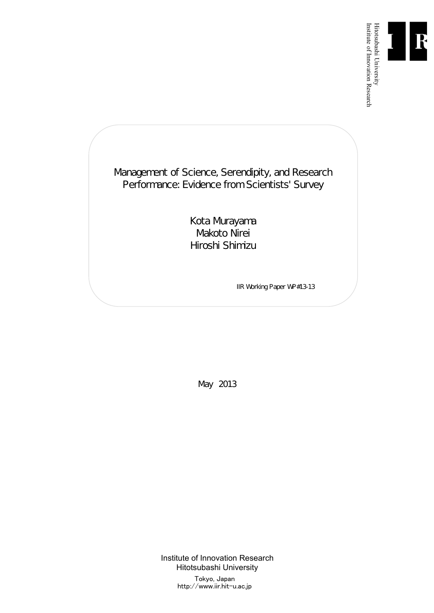

Institute of Innovation Research

Management of Science, Serendipity, and Research Performance: Evidence from Scientists' Survey

> Kota Murayama Makoto Nirei Hiroshi Shimizu

> > IIR Working Paper WP#13-13

May 2013

Institute of Innovation Research Hitotsubashi University Tokyo, Japan http://www.iir.hit-u.ac.jp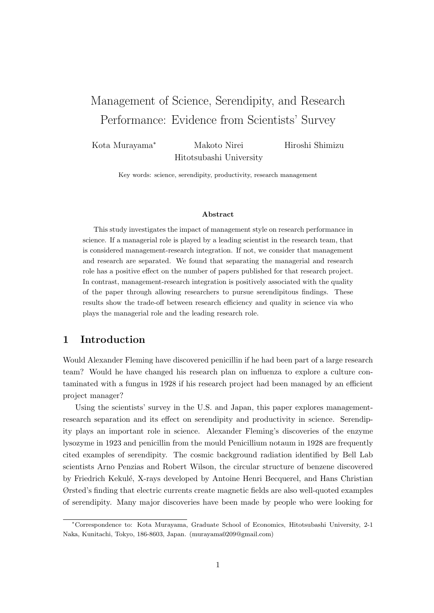# Management of Science, Serendipity, and Research Performance: Evidence from Scientists' Survey

Kota Murayama*<sup>∗</sup>* Makoto Nirei Hitotsubashi University Hiroshi Shimizu

Key words: science, serendipity, productivity, research management

#### **Abstract**

This study investigates the impact of management style on research performance in science. If a managerial role is played by a leading scientist in the research team, that is considered management-research integration. If not, we consider that management and research are separated. We found that separating the managerial and research role has a positive effect on the number of papers published for that research project. In contrast, management-research integration is positively associated with the quality of the paper through allowing researchers to pursue serendipitous findings. These results show the trade-off between research efficiency and quality in science via who plays the managerial role and the leading research role.

## **1 Introduction**

Would Alexander Fleming have discovered penicillin if he had been part of a large research team? Would he have changed his research plan on influenza to explore a culture contaminated with a fungus in 1928 if his research project had been managed by an efficient project manager?

Using the scientists' survey in the U.S. and Japan, this paper explores managementresearch separation and its effect on serendipity and productivity in science. Serendipity plays an important role in science. Alexander Fleming's discoveries of the enzyme lysozyme in 1923 and penicillin from the mould Penicillium notaum in 1928 are frequently cited examples of serendipity. The cosmic background radiation identified by Bell Lab scientists Arno Penzias and Robert Wilson, the circular structure of benzene discovered by Friedrich Kekulé, X-rays developed by Antoine Henri Becquerel, and Hans Christian Ørsted's finding that electric currents create magnetic fields are also well-quoted examples of serendipity. Many major discoveries have been made by people who were looking for

*<sup>∗</sup>*Correspondence to: Kota Murayama, Graduate School of Economics, Hitotsubashi University, 2-1 Naka, Kunitachi, Tokyo, 186-8603, Japan. (murayama0209@gmail.com)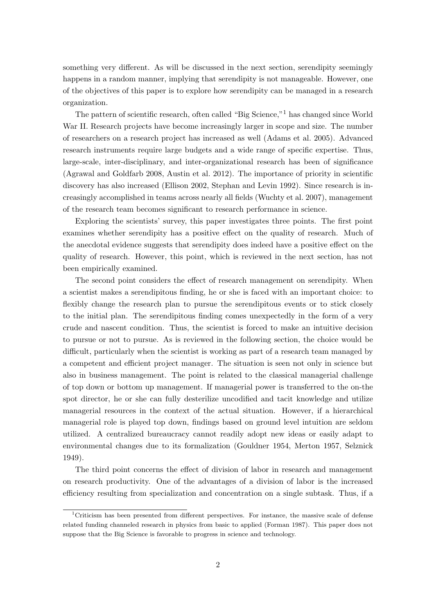something very different. As will be discussed in the next section, serendipity seemingly happens in a random manner, implying that serendipity is not manageable. However, one of the objectives of this paper is to explore how serendipity can be managed in a research organization.

The pattern of scientific research, often called "Big Science,"<sup>1</sup> has changed since World War II. Research projects have become increasingly larger in scope and size. The number of researchers on a research project has increased as well (Adams et al. 2005). Advanced research instruments require large budgets and a wide range of specific expertise. Thus, large-scale, inter-disciplinary, and inter-organizational research has been of significance (Agrawal and Goldfarb 2008, Austin et al. 2012). The importance of priority in scientific discovery has also increased (Ellison 2002, Stephan and Levin 1992). Since research is increasingly accomplished in teams across nearly all fields (Wuchty et al. 2007), management of the research team becomes significant to research performance in science.

Exploring the scientists' survey, this paper investigates three points. The first point examines whether serendipity has a positive effect on the quality of research. Much of the anecdotal evidence suggests that serendipity does indeed have a positive effect on the quality of research. However, this point, which is reviewed in the next section, has not been empirically examined.

The second point considers the effect of research management on serendipity. When a scientist makes a serendipitous finding, he or she is faced with an important choice: to flexibly change the research plan to pursue the serendipitous events or to stick closely to the initial plan. The serendipitous finding comes unexpectedly in the form of a very crude and nascent condition. Thus, the scientist is forced to make an intuitive decision to pursue or not to pursue. As is reviewed in the following section, the choice would be difficult, particularly when the scientist is working as part of a research team managed by a competent and efficient project manager. The situation is seen not only in science but also in business management. The point is related to the classical managerial challenge of top down or bottom up management. If managerial power is transferred to the on-the spot director, he or she can fully desterilize uncodified and tacit knowledge and utilize managerial resources in the context of the actual situation. However, if a hierarchical managerial role is played top down, findings based on ground level intuition are seldom utilized. A centralized bureaucracy cannot readily adopt new ideas or easily adapt to environmental changes due to its formalization (Gouldner 1954, Merton 1957, Selznick 1949).

The third point concerns the effect of division of labor in research and management on research productivity. One of the advantages of a division of labor is the increased efficiency resulting from specialization and concentration on a single subtask. Thus, if a

 $1$ Criticism has been presented from different perspectives. For instance, the massive scale of defense related funding channeled research in physics from basic to applied (Forman 1987). This paper does not suppose that the Big Science is favorable to progress in science and technology.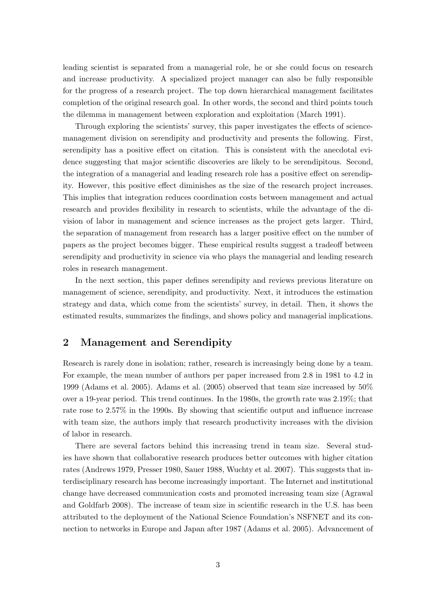leading scientist is separated from a managerial role, he or she could focus on research and increase productivity. A specialized project manager can also be fully responsible for the progress of a research project. The top down hierarchical management facilitates completion of the original research goal. In other words, the second and third points touch the dilemma in management between exploration and exploitation (March 1991).

Through exploring the scientists' survey, this paper investigates the effects of sciencemanagement division on serendipity and productivity and presents the following. First, serendipity has a positive effect on citation. This is consistent with the anecdotal evidence suggesting that major scientific discoveries are likely to be serendipitous. Second, the integration of a managerial and leading research role has a positive effect on serendipity. However, this positive effect diminishes as the size of the research project increases. This implies that integration reduces coordination costs between management and actual research and provides flexibility in research to scientists, while the advantage of the division of labor in management and science increases as the project gets larger. Third, the separation of management from research has a larger positive effect on the number of papers as the project becomes bigger. These empirical results suggest a tradeoff between serendipity and productivity in science via who plays the managerial and leading research roles in research management.

In the next section, this paper defines serendipity and reviews previous literature on management of science, serendipity, and productivity. Next, it introduces the estimation strategy and data, which come from the scientists' survey, in detail. Then, it shows the estimated results, summarizes the findings, and shows policy and managerial implications.

## **2 Management and Serendipity**

Research is rarely done in isolation; rather, research is increasingly being done by a team. For example, the mean number of authors per paper increased from 2.8 in 1981 to 4.2 in 1999 (Adams et al. 2005). Adams et al. (2005) observed that team size increased by 50% over a 19-year period. This trend continues. In the 1980s, the growth rate was 2.19%; that rate rose to 2.57% in the 1990s. By showing that scientific output and influence increase with team size, the authors imply that research productivity increases with the division of labor in research.

There are several factors behind this increasing trend in team size. Several studies have shown that collaborative research produces better outcomes with higher citation rates (Andrews 1979, Presser 1980, Sauer 1988, Wuchty et al. 2007). This suggests that interdisciplinary research has become increasingly important. The Internet and institutional change have decreased communication costs and promoted increasing team size (Agrawal and Goldfarb 2008). The increase of team size in scientific research in the U.S. has been attributed to the deployment of the National Science Foundation's NSFNET and its connection to networks in Europe and Japan after 1987 (Adams et al. 2005). Advancement of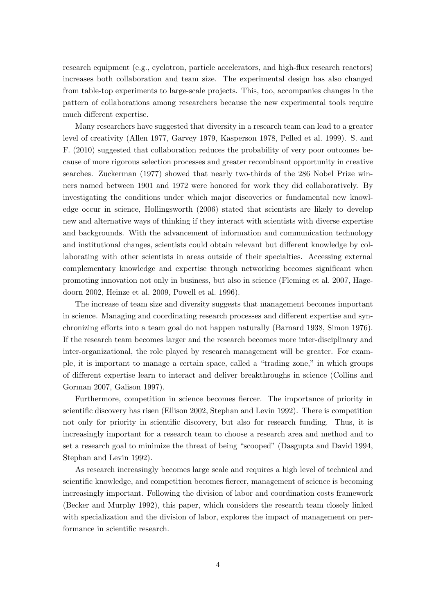research equipment (e.g., cyclotron, particle accelerators, and high-flux research reactors) increases both collaboration and team size. The experimental design has also changed from table-top experiments to large-scale projects. This, too, accompanies changes in the pattern of collaborations among researchers because the new experimental tools require much different expertise.

Many researchers have suggested that diversity in a research team can lead to a greater level of creativity (Allen 1977, Garvey 1979, Kasperson 1978, Pelled et al. 1999). S. and F. (2010) suggested that collaboration reduces the probability of very poor outcomes because of more rigorous selection processes and greater recombinant opportunity in creative searches. Zuckerman (1977) showed that nearly two-thirds of the 286 Nobel Prize winners named between 1901 and 1972 were honored for work they did collaboratively. By investigating the conditions under which major discoveries or fundamental new knowledge occur in science, Hollingsworth (2006) stated that scientists are likely to develop new and alternative ways of thinking if they interact with scientists with diverse expertise and backgrounds. With the advancement of information and communication technology and institutional changes, scientists could obtain relevant but different knowledge by collaborating with other scientists in areas outside of their specialties. Accessing external complementary knowledge and expertise through networking becomes significant when promoting innovation not only in business, but also in science (Fleming et al. 2007, Hagedoorn 2002, Heinze et al. 2009, Powell et al. 1996).

The increase of team size and diversity suggests that management becomes important in science. Managing and coordinating research processes and different expertise and synchronizing efforts into a team goal do not happen naturally (Barnard 1938, Simon 1976). If the research team becomes larger and the research becomes more inter-disciplinary and inter-organizational, the role played by research management will be greater. For example, it is important to manage a certain space, called a "trading zone," in which groups of different expertise learn to interact and deliver breakthroughs in science (Collins and Gorman 2007, Galison 1997).

Furthermore, competition in science becomes fiercer. The importance of priority in scientific discovery has risen (Ellison 2002, Stephan and Levin 1992). There is competition not only for priority in scientific discovery, but also for research funding. Thus, it is increasingly important for a research team to choose a research area and method and to set a research goal to minimize the threat of being "scooped" (Dasgupta and David 1994, Stephan and Levin 1992).

As research increasingly becomes large scale and requires a high level of technical and scientific knowledge, and competition becomes fiercer, management of science is becoming increasingly important. Following the division of labor and coordination costs framework (Becker and Murphy 1992), this paper, which considers the research team closely linked with specialization and the division of labor, explores the impact of management on performance in scientific research.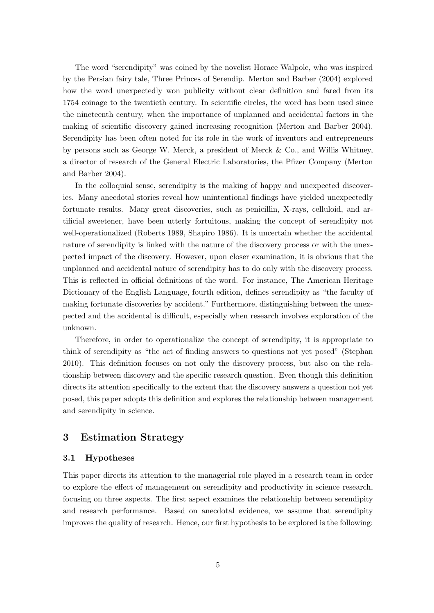The word "serendipity" was coined by the novelist Horace Walpole, who was inspired by the Persian fairy tale, Three Princes of Serendip. Merton and Barber (2004) explored how the word unexpectedly won publicity without clear definition and fared from its 1754 coinage to the twentieth century. In scientific circles, the word has been used since the nineteenth century, when the importance of unplanned and accidental factors in the making of scientific discovery gained increasing recognition (Merton and Barber 2004). Serendipity has been often noted for its role in the work of inventors and entrepreneurs by persons such as George W. Merck, a president of Merck & Co., and Willis Whitney, a director of research of the General Electric Laboratories, the Pfizer Company (Merton and Barber 2004).

In the colloquial sense, serendipity is the making of happy and unexpected discoveries. Many anecdotal stories reveal how unintentional findings have yielded unexpectedly fortunate results. Many great discoveries, such as penicillin, X-rays, celluloid, and artificial sweetener, have been utterly fortuitous, making the concept of serendipity not well-operationalized (Roberts 1989, Shapiro 1986). It is uncertain whether the accidental nature of serendipity is linked with the nature of the discovery process or with the unexpected impact of the discovery. However, upon closer examination, it is obvious that the unplanned and accidental nature of serendipity has to do only with the discovery process. This is reflected in official definitions of the word. For instance, The American Heritage Dictionary of the English Language, fourth edition, defines serendipity as "the faculty of making fortunate discoveries by accident." Furthermore, distinguishing between the unexpected and the accidental is difficult, especially when research involves exploration of the unknown.

Therefore, in order to operationalize the concept of serendipity, it is appropriate to think of serendipity as "the act of finding answers to questions not yet posed" (Stephan 2010). This definition focuses on not only the discovery process, but also on the relationship between discovery and the specific research question. Even though this definition directs its attention specifically to the extent that the discovery answers a question not yet posed, this paper adopts this definition and explores the relationship between management and serendipity in science.

## **3 Estimation Strategy**

#### **3.1 Hypotheses**

This paper directs its attention to the managerial role played in a research team in order to explore the effect of management on serendipity and productivity in science research, focusing on three aspects. The first aspect examines the relationship between serendipity and research performance. Based on anecdotal evidence, we assume that serendipity improves the quality of research. Hence, our first hypothesis to be explored is the following: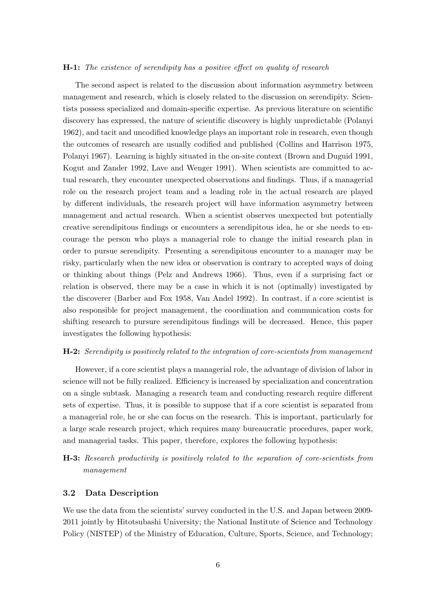#### **H-1:** *The existence of serendipity has a positive effect on quality of research*

The second aspect is related to the discussion about information asymmetry between management and research, which is closely related to the discussion on serendipity. Scientists possess specialized and domain-specific expertise. As previous literature on scientific discovery has expressed, the nature of scientific discovery is highly unpredictable (Polanyi 1962), and tacit and uncodified knowledge plays an important role in research, even though the outcomes of research are usually codified and published (Collins and Harrison 1975, Polanyi 1967). Learning is highly situated in the on-site context (Brown and Duguid 1991, Kogut and Zander 1992, Lave and Wenger 1991). When scientists are committed to actual research, they encounter unexpected observations and findings. Thus, if a managerial role on the research project team and a leading role in the actual research are played by different individuals, the research project will have information asymmetry between management and actual research. When a scientist observes unexpected but potentially creative serendipitous findings or encounters a serendipitous idea, he or she needs to encourage the person who plays a managerial role to change the initial research plan in order to pursue serendipity. Presenting a serendipitous encounter to a manager may be risky, particularly when the new idea or observation is contrary to accepted ways of doing or thinking about things (Pelz and Andrews 1966). Thus, even if a surprising fact or relation is observed, there may be a case in which it is not (optimally) investigated by the discoverer (Barber and Fox 1958, Van Andel 1992). In contrast, if a core scientist is also responsible for project management, the coordination and communication costs for shifting research to pursure serendipitous findings will be decreased. Hence, this paper investigates the following hypothesis:

#### **H-2:** *Serendipity is positively related to the integration of core-scientists from management*

However, if a core scientist plays a managerial role, the advantage of division of labor in science will not be fully realized. Efficiency is increased by specialization and concentration on a single subtask. Managing a research team and conducting research require different sets of expertise. Thus, it is possible to suppose that if a core scientist is separated from a managerial role, he or she can focus on the research. This is important, particularly for a large scale research project, which requires many bureaucratic procedures, paper work, and managerial tasks. This paper, therefore, explores the following hypothesis:

**H-3:** *Research productivity is positively related to the separation of core-scientists from management*

#### **3.2 Data Description**

We use the data from the scientists' survey conducted in the U.S. and Japan between 2009- 2011 jointly by Hitotsubashi University; the National Institute of Science and Technology Policy (NISTEP) of the Ministry of Education, Culture, Sports, Science, and Technology;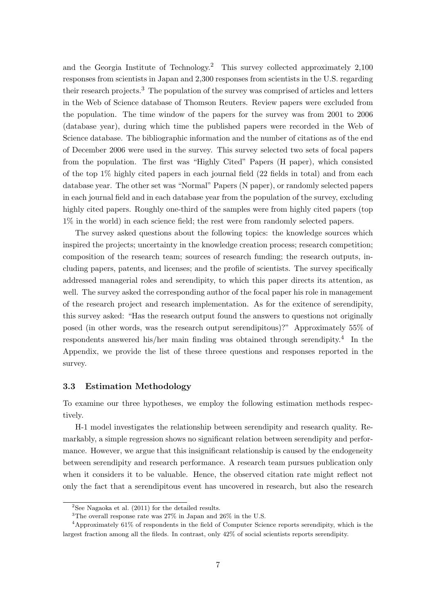and the Georgia Institute of Technology.<sup>2</sup> This survey collected approximately 2,100 responses from scientists in Japan and 2,300 responses from scientists in the U.S. regarding their research projects.<sup>3</sup> The population of the survey was comprised of articles and letters in the Web of Science database of Thomson Reuters. Review papers were excluded from the population. The time window of the papers for the survey was from 2001 to 2006 (database year), during which time the published papers were recorded in the Web of Science database. The bibliographic information and the number of citations as of the end of December 2006 were used in the survey. This survey selected two sets of focal papers from the population. The first was "Highly Cited" Papers (H paper), which consisted of the top 1% highly cited papers in each journal field (22 fields in total) and from each database year. The other set was "Normal" Papers (N paper), or randomly selected papers in each journal field and in each database year from the population of the survey, excluding highly cited papers. Roughly one-third of the samples were from highly cited papers (top 1% in the world) in each science field; the rest were from randomly selected papers.

The survey asked questions about the following topics: the knowledge sources which inspired the projects; uncertainty in the knowledge creation process; research competition; composition of the research team; sources of research funding; the research outputs, including papers, patents, and licenses; and the profile of scientists. The survey specifically addressed managerial roles and serendipity, to which this paper directs its attention, as well. The survey asked the corresponding author of the focal paper his role in management of the research project and research implementation. As for the exitence of serendipity, this survey asked: "Has the research output found the answers to questions not originally posed (in other words, was the research output serendipitous)?" Approximately 55% of respondents answered his/her main finding was obtained through serendipity.<sup>4</sup> In the Appendix, we provide the list of these threee questions and responses reported in the survey.

#### **3.3 Estimation Methodology**

To examine our three hypotheses, we employ the following estimation methods respectively.

H-1 model investigates the relationship between serendipity and research quality. Remarkably, a simple regression shows no significant relation between serendipity and performance. However, we argue that this insignificant relationship is caused by the endogeneity between serendipity and research performance. A research team pursues publication only when it considers it to be valuable. Hence, the observed citation rate might reflect not only the fact that a serendipitous event has uncovered in research, but also the research

 $2$ See Nagaoka et al. (2011) for the detailed results.

<sup>3</sup>The overall response rate was 27% in Japan and 26% in the U.S.

<sup>4</sup>Approximately 61% of respondents in the field of Computer Science reports serendipity, which is the largest fraction among all the fileds. In contrast, only 42% of social scientists reports serendipity.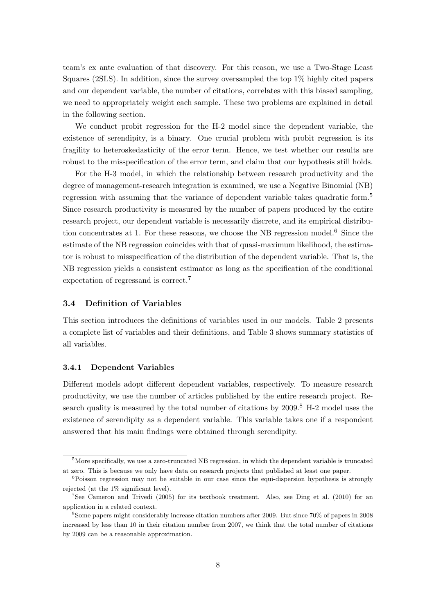team's ex ante evaluation of that discovery. For this reason, we use a Two-Stage Least Squares (2SLS). In addition, since the survey oversampled the top 1% highly cited papers and our dependent variable, the number of citations, correlates with this biased sampling, we need to appropriately weight each sample. These two problems are explained in detail in the following section.

We conduct probit regression for the H-2 model since the dependent variable, the existence of serendipity, is a binary. One crucial problem with probit regression is its fragility to heteroskedasticity of the error term. Hence, we test whether our results are robust to the misspecification of the error term, and claim that our hypothesis still holds.

For the H-3 model, in which the relationship between research productivity and the degree of management-research integration is examined, we use a Negative Binomial (NB) regression with assuming that the variance of dependent variable takes quadratic form.<sup>5</sup> Since research productivity is measured by the number of papers produced by the entire research project, our dependent variable is necessarily discrete, and its empirical distribution concentrates at 1. For these reasons, we choose the NB regression model.<sup>6</sup> Since the estimate of the NB regression coincides with that of quasi-maximum likelihood, the estimator is robust to misspecification of the distribution of the dependent variable. That is, the NB regression yields a consistent estimator as long as the specification of the conditional expectation of regressand is correct.<sup>7</sup>

#### **3.4 Definition of Variables**

This section introduces the definitions of variables used in our models. Table 2 presents a complete list of variables and their definitions, and Table 3 shows summary statistics of all variables.

#### **3.4.1 Dependent Variables**

Different models adopt different dependent variables, respectively. To measure research productivity, we use the number of articles published by the entire research project. Research quality is measured by the total number of citations by  $2009$ .<sup>8</sup> H-2 model uses the existence of serendipity as a dependent variable. This variable takes one if a respondent answered that his main findings were obtained through serendipity.

<sup>&</sup>lt;sup>5</sup>More specifically, we use a zero-truncated NB regression, in which the dependent variable is truncated at zero. This is because we only have data on research projects that published at least one paper.

<sup>&</sup>lt;sup>6</sup>Poisson regression may not be suitable in our case since the equi-dispersion hypothesis is strongly rejected (at the 1% significant level).

<sup>7</sup>See Cameron and Trivedi (2005) for its textbook treatment. Also, see Ding et al. (2010) for an application in a related context.

<sup>8</sup>Some papers might considerably increase citation numbers after 2009. But since 70% of papers in 2008 increased by less than 10 in their citation number from 2007, we think that the total number of citations by 2009 can be a reasonable approximation.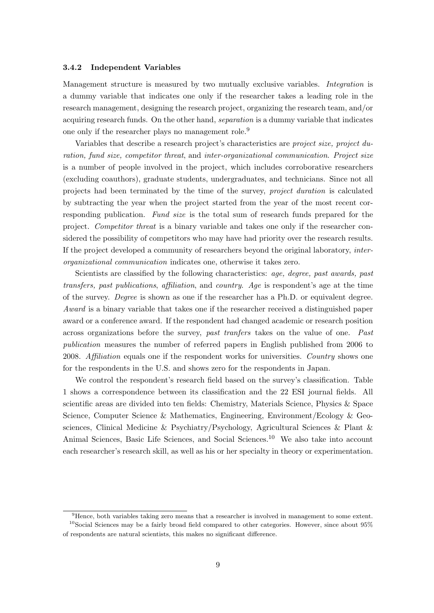#### **3.4.2 Independent Variables**

Management structure is measured by two mutually exclusive variables. *Integration* is a dummy variable that indicates one only if the researcher takes a leading role in the research management, designing the research project, organizing the research team, and/or acquiring research funds. On the other hand, *separation* is a dummy variable that indicates one only if the researcher plays no management role.<sup>9</sup>

Variables that describe a research project's characteristics are *project size, project duration, fund size, competitor threat*, and *inter-organizational communication*. *Project size* is a number of people involved in the project, which includes corroborative researchers (excluding coauthors), graduate students, undergraduates, and technicians. Since not all projects had been terminated by the time of the survey, *project duration* is calculated by subtracting the year when the project started from the year of the most recent corresponding publication. *Fund size* is the total sum of research funds prepared for the project. *Competitor threat* is a binary variable and takes one only if the researcher considered the possibility of competitors who may have had priority over the research results. If the project developed a community of researchers beyond the original laboratory, *interorganizational communication* indicates one, otherwise it takes zero.

Scientists are classified by the following characteristics: *age, degree, past awards, past transfers, past publications*, *affiliation*, and *country*. *Age* is respondent's age at the time of the survey. *Degree* is shown as one if the researcher has a Ph.D. or equivalent degree. *Award* is a binary variable that takes one if the researcher received a distinguished paper award or a conference award. If the respondent had changed academic or research position across organizations before the survey, *past tranfers* takes on the value of one. *Past publication* measures the number of referred papers in English published from 2006 to 2008. *Affiliation* equals one if the respondent works for universities. *Country* shows one for the respondents in the U.S. and shows zero for the respondents in Japan.

We control the respondent's research field based on the survey's classification. Table 1 shows a correspondence between its classification and the 22 ESI journal fields. All scientific areas are divided into ten fields: Chemistry, Materials Science, Physics & Space Science, Computer Science & Mathematics, Engineering, Environment/Ecology & Geosciences, Clinical Medicine & Psychiatry/Psychology, Agricultural Sciences & Plant & Animal Sciences, Basic Life Sciences, and Social Sciences.<sup>10</sup> We also take into account each researcher's research skill, as well as his or her specialty in theory or experimentation.

<sup>9</sup>Hence, both variables taking zero means that a researcher is involved in management to some extent.  $10$ Social Sciences may be a fairly broad field compared to other categories. However, since about  $95\%$ of respondents are natural scientists, this makes no significant difference.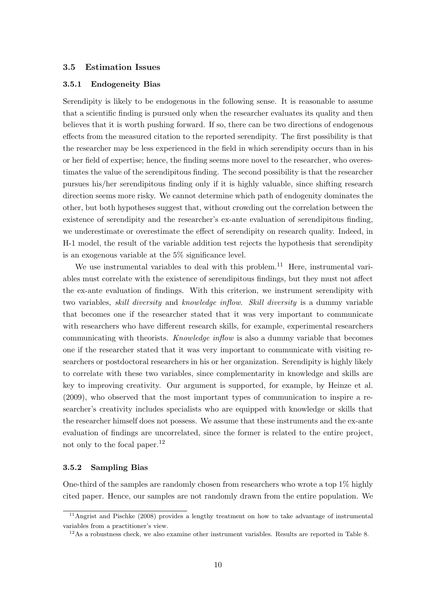#### **3.5 Estimation Issues**

#### **3.5.1 Endogeneity Bias**

Serendipity is likely to be endogenous in the following sense. It is reasonable to assume that a scientific finding is pursued only when the researcher evaluates its quality and then believes that it is worth pushing forward. If so, there can be two directions of endogenous effects from the measured citation to the reported serendipity. The first possibility is that the researcher may be less experienced in the field in which serendipity occurs than in his or her field of expertise; hence, the finding seems more novel to the researcher, who overestimates the value of the serendipitous finding. The second possibility is that the researcher pursues his/her serendipitous finding only if it is highly valuable, since shifting research direction seems more risky. We cannot determine which path of endogenity dominates the other, but both hypotheses suggest that, without crowding out the correlation between the existence of serendipity and the researcher's ex-ante evaluation of serendipitous finding, we underestimate or overestimate the effect of serendipity on research quality. Indeed, in H-1 model, the result of the variable addition test rejects the hypothesis that serendipity is an exogenous variable at the 5% significance level.

We use instrumental variables to deal with this problem.<sup>11</sup> Here, instrumental variables must correlate with the existence of serendipitous findings, but they must not affect the ex-ante evaluation of findings. With this criterion, we instrument serendipity with two variables, *skill diversity* and *knowledge inflow*. *Skill diversity* is a dummy variable that becomes one if the researcher stated that it was very important to communicate with researchers who have different research skills, for example, experimental researchers communicating with theorists. *Knowledge inflow* is also a dummy variable that becomes one if the researcher stated that it was very important to communicate with visiting researchers or postdoctoral researchers in his or her organization. Serendipity is highly likely to correlate with these two variables, since complementarity in knowledge and skills are key to improving creativity. Our argument is supported, for example, by Heinze et al. (2009), who observed that the most important types of communication to inspire a researcher's creativity includes specialists who are equipped with knowledge or skills that the researcher himself does not possess. We assume that these instruments and the ex-ante evaluation of findings are uncorrelated, since the former is related to the entire project, not only to the focal paper.<sup>12</sup>

#### **3.5.2 Sampling Bias**

One-third of the samples are randomly chosen from researchers who wrote a top 1% highly cited paper. Hence, our samples are not randomly drawn from the entire population. We

<sup>&</sup>lt;sup>11</sup>Angrist and Pischke (2008) provides a lengthy treatment on how to take advantage of instrumental variables from a practitioner's view.

 $12\text{As a robustness check, we also examine other instrument variables. Results are reported in Table 8.$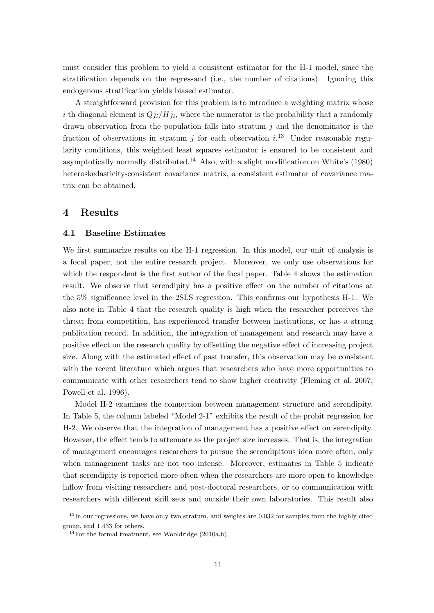must consider this problem to yield a consistent estimator for the H-1 model, since the stratification depends on the regressand (i.e., the number of citations). Ignoring this endogenous stratification yields biased estimator.

A straightforward provision for this problem is to introduce a weighting matrix whose *i* th diagonal element is  $Qj_i/Hj_i$ , where the numerator is the probability that a randomly drawn observation from the population falls into stratum *j* and the denominator is the fraction of observations in stratum  $j$  for each observation  $i$ .<sup>13</sup> Under reasonable regularity conditions, this weighted least squares estimator is ensured to be consistent and asymptotically normally distributed.<sup>14</sup> Also, with a slight modification on White's  $(1980)$ heteroskedasticity-consistent covariance matrix, a consistent estimator of covariance matrix can be obtained.

## **4 Results**

#### **4.1 Baseline Estimates**

We first summarize results on the H-1 regression. In this model, our unit of analysis is a focal paper, not the entire research project. Moreover, we only use observations for which the respondent is the first author of the focal paper. Table 4 shows the estimation result. We observe that serendipity has a positive effect on the number of citations at the 5% significance level in the 2SLS regression. This confirms our hypothesis H-1. We also note in Table 4 that the research quality is high when the researcher perceives the threat from competition, has experienced transfer between institutions, or has a strong publication record. In addition, the integration of management and research may have a positive effect on the research quality by offsetting the negative effect of increasing project size. Along with the estimated effect of past transfer, this observation may be consistent with the recent literature which argues that researchers who have more opportunities to communicate with other researchers tend to show higher creativity (Fleming et al. 2007, Powell et al. 1996).

Model H-2 examines the connection between management structure and serendipity. In Table 5, the column labeled "Model 2-1" exhibits the result of the probit regression for H-2. We observe that the integration of management has a positive effect on serendipity. However, the effect tends to attenuate as the project size increases. That is, the integration of management encourages researchers to pursue the serendipitous idea more often, only when management tasks are not too intense. Moreover, estimates in Table 5 indicate that serendipity is reported more often when the researchers are more open to knowledge inflow from visiting researchers and post-doctoral researchers, or to communication with researchers with different skill sets and outside their own laboratories. This result also

<sup>&</sup>lt;sup>13</sup>In our regressions, we have only two stratum, and weights are 0.032 for samples from the highly cited group, and 1.433 for others.

<sup>&</sup>lt;sup>14</sup>For the formal treatment, see Wooldridge  $(2010a,b)$ .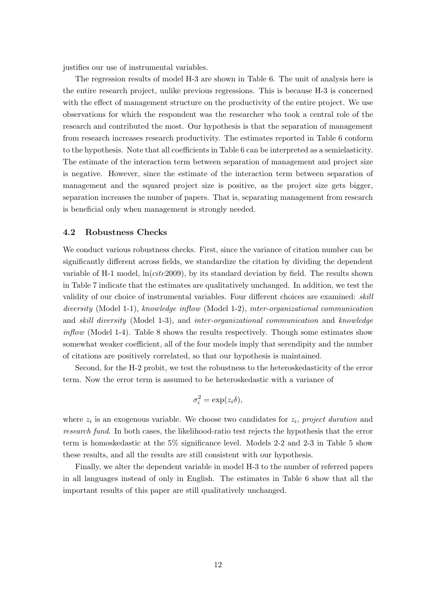justifies our use of instrumental variables.

The regression results of model H-3 are shown in Table 6. The unit of analysis here is the entire research project, unlike previous regressions. This is because H-3 is concerned with the effect of management structure on the productivity of the entire project. We use observations for which the respondent was the researcher who took a central role of the research and contributed the most. Our hypothesis is that the separation of management from research increases research productivity. The estimates reported in Table 6 conform to the hypothesis. Note that all coefficients in Table 6 can be interpreted as a semielasticity. The estimate of the interaction term between separation of management and project size is negative. However, since the estimate of the interaction term between separation of management and the squared project size is positive, as the project size gets bigger, separation increases the number of papers. That is, separating management from research is beneficial only when management is strongly needed.

#### **4.2 Robustness Checks**

We conduct various robustness checks. First, since the variance of citation number can be significantly different across fields, we standardize the citation by dividing the dependent variable of H-1 model, ln(*cite*2009), by its standard deviation by field. The results shown in Table 7 indicate that the estimates are qualitatively unchanged. In addition, we test the validity of our choice of instrumental variables. Four different choices are examined: *skill diversity* (Model 1-1), *knowledge inflow* (Model 1-2), *inter-organizational communication* and *skill diversity* (Model 1-3), and *inter-organizational communication* and *knowledge inflow* (Model 1-4). Table 8 shows the results respectively. Though some estimates show somewhat weaker coefficient, all of the four models imply that serendipity and the number of citations are positively correlated, so that our hypothesis is maintained.

Second, for the H-2 probit, we test the robustness to the heteroskedasticity of the error term. Now the error term is assumed to be heteroskedastic with a variance of

$$
\sigma_i^2 = \exp(z_i \delta),
$$

where  $z_i$  is an exogenous variable. We choose two candidates for  $z_i$ , project duration and *research fund*. In both cases, the likelihood-ratio test rejects the hypothesis that the error term is homoskedastic at the 5% significance level. Models 2-2 and 2-3 in Table 5 show these results, and all the results are still consistent with our hypothesis.

Finally, we alter the dependent variable in model H-3 to the number of referred papers in all languages instead of only in English. The estimates in Table 6 show that all the important results of this paper are still qualitatively unchanged.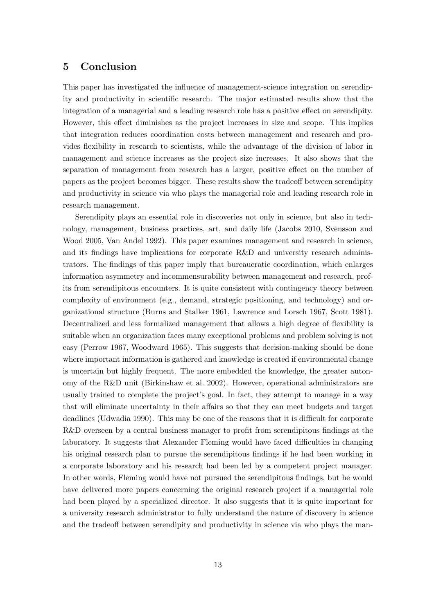### **5 Conclusion**

This paper has investigated the influence of management-science integration on serendipity and productivity in scientific research. The major estimated results show that the integration of a managerial and a leading research role has a positive effect on serendipity. However, this effect diminishes as the project increases in size and scope. This implies that integration reduces coordination costs between management and research and provides flexibility in research to scientists, while the advantage of the division of labor in management and science increases as the project size increases. It also shows that the separation of management from research has a larger, positive effect on the number of papers as the project becomes bigger. These results show the tradeoff between serendipity and productivity in science via who plays the managerial role and leading research role in research management.

Serendipity plays an essential role in discoveries not only in science, but also in technology, management, business practices, art, and daily life (Jacobs 2010, Svensson and Wood 2005, Van Andel 1992). This paper examines management and research in science, and its findings have implications for corporate R&D and university research administrators. The findings of this paper imply that bureaucratic coordination, which enlarges information asymmetry and incommensurability between management and research, profits from serendipitous encounters. It is quite consistent with contingency theory between complexity of environment (e.g., demand, strategic positioning, and technology) and organizational structure (Burns and Stalker 1961, Lawrence and Lorsch 1967, Scott 1981). Decentralized and less formalized management that allows a high degree of flexibility is suitable when an organization faces many exceptional problems and problem solving is not easy (Perrow 1967, Woodward 1965). This suggests that decision-making should be done where important information is gathered and knowledge is created if environmental change is uncertain but highly frequent. The more embedded the knowledge, the greater autonomy of the R&D unit (Birkinshaw et al. 2002). However, operational administrators are usually trained to complete the project's goal. In fact, they attempt to manage in a way that will eliminate uncertainty in their affairs so that they can meet budgets and target deadlines (Udwadia 1990). This may be one of the reasons that it is difficult for corporate R&D overseen by a central business manager to profit from serendipitous findings at the laboratory. It suggests that Alexander Fleming would have faced difficulties in changing his original research plan to pursue the serendipitous findings if he had been working in a corporate laboratory and his research had been led by a competent project manager. In other words, Fleming would have not pursued the serendipitous findings, but he would have delivered more papers concerning the original research project if a managerial role had been played by a specialized director. It also suggests that it is quite important for a university research administrator to fully understand the nature of discovery in science and the tradeoff between serendipity and productivity in science via who plays the man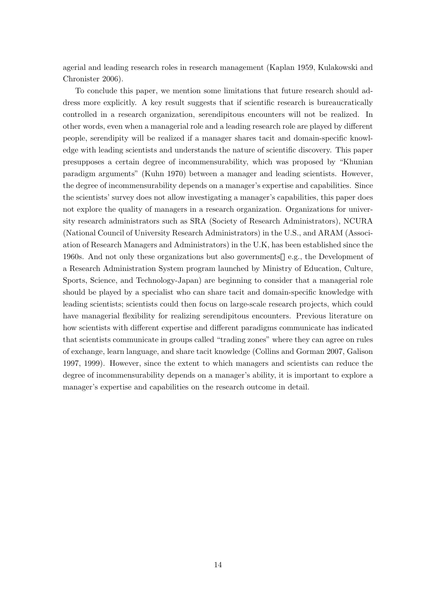agerial and leading research roles in research management (Kaplan 1959, Kulakowski and Chronister 2006).

To conclude this paper, we mention some limitations that future research should address more explicitly. A key result suggests that if scientific research is bureaucratically controlled in a research organization, serendipitous encounters will not be realized. In other words, even when a managerial role and a leading research role are played by different people, serendipity will be realized if a manager shares tacit and domain-specific knowledge with leading scientists and understands the nature of scientific discovery. This paper presupposes a certain degree of incommensurability, which was proposed by "Khunian paradigm arguments" (Kuhn 1970) between a manager and leading scientists. However, the degree of incommensurability depends on a manager's expertise and capabilities. Since the scientists' survey does not allow investigating a manager's capabilities, this paper does not explore the quality of managers in a research organization. Organizations for university research administrators such as SRA (Society of Research Administrators), NCURA (National Council of University Research Administrators) in the U.S., and ARAM (Association of Research Managers and Administrators) in the U.K, has been established since the 1960s. And not only these organizations but also governments e.g., the Development of a Research Administration System program launched by Ministry of Education, Culture, Sports, Science, and Technology-Japan) are beginning to consider that a managerial role should be played by a specialist who can share tacit and domain-specific knowledge with leading scientists; scientists could then focus on large-scale research projects, which could have managerial flexibility for realizing serendipitous encounters. Previous literature on how scientists with different expertise and different paradigms communicate has indicated that scientists communicate in groups called "trading zones" where they can agree on rules of exchange, learn language, and share tacit knowledge (Collins and Gorman 2007, Galison 1997, 1999). However, since the extent to which managers and scientists can reduce the degree of incommensurability depends on a manager's ability, it is important to explore a manager's expertise and capabilities on the research outcome in detail.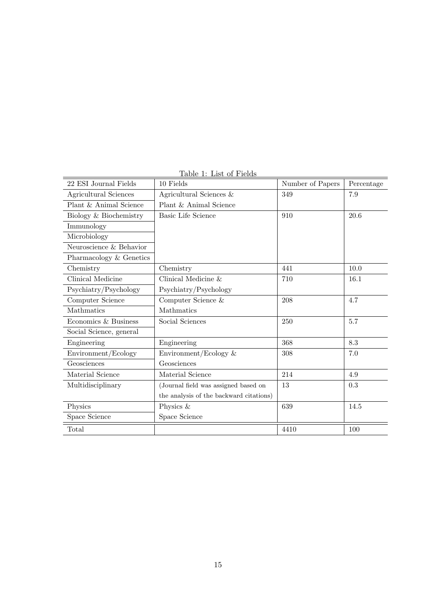| 22 ESI Journal Fields   | 10 Fields                               | Number of Papers | Percentage |
|-------------------------|-----------------------------------------|------------------|------------|
| Agricultural Sciences   | Agricultural Sciences &                 | 349              | 7.9        |
| Plant & Animal Science  | Plant & Animal Science                  |                  |            |
| Biology & Biochemistry  | <b>Basic Life Science</b>               | 910              | 20.6       |
| Immunology              |                                         |                  |            |
| Microbiology            |                                         |                  |            |
| Neuroscience & Behavior |                                         |                  |            |
| Pharmacology & Genetics |                                         |                  |            |
| Chemistry               | Chemistry                               | 441              | 10.0       |
| Clinical Medicine       | Clinical Medicine &                     | 710              | 16.1       |
| Psychiatry/Psychology   | Psychiatry/Psychology                   |                  |            |
| Computer Science        | Computer Science &                      | 208              | 4.7        |
| Mathmatics              | Mathmatics                              |                  |            |
| Economics & Business    | Social Sciences                         | 250              | 5.7        |
| Social Science, general |                                         |                  |            |
| Engineering             | Engineering                             | 368              | 8.3        |
| Environment/Ecology     | Environment/Ecology $\&$                | 308              | 7.0        |
| Geosciences             | Geosciences                             |                  |            |
| Material Science        | Material Science                        | 214              | 4.9        |
| Multidisciplinary       | (Journal field was assigned based on    | 13               | 0.3        |
|                         | the analysis of the backward citations) |                  |            |
| Physics                 | Physics &                               | 639              | 14.5       |
| Space Science           | Space Science                           |                  |            |
| Total                   |                                         | 4410             | 100        |

Table 1: List of Fields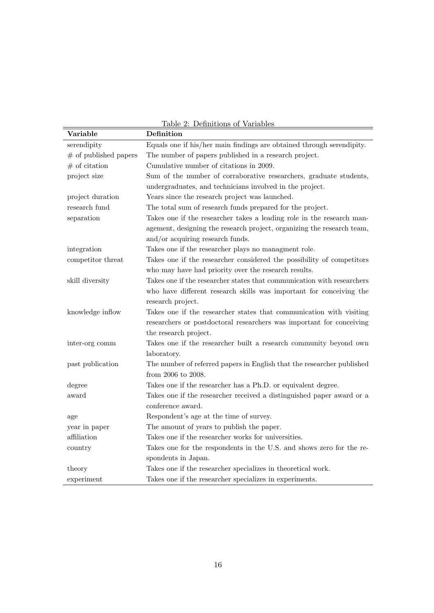|                         | Table 2: Definitions of Variables                                      |
|-------------------------|------------------------------------------------------------------------|
| Variable                | Definition                                                             |
| serendipity             | Equals one if his/her main findings are obtained through serendipity.  |
| $#$ of published papers | The number of papers published in a research project.                  |
| $#$ of citation         | Cumulative number of citations in 2009.                                |
| project size            | Sum of the number of corraborative researchers, graduate students,     |
|                         | undergraduates, and technicians involved in the project.               |
| project duration        | Years since the research project was launched.                         |
| research fund           | The total sum of research funds prepared for the project.              |
| separation              | Takes one if the researcher takes a leading role in the research man-  |
|                         | agement, designing the research project, organizing the research team, |
|                         | and/or acquiring research funds.                                       |
| integration             | Takes one if the researcher plays no managment role.                   |
| competitor threat       | Takes one if the researcher considered the possibility of competitors  |
|                         | who may have had priority over the research results.                   |
| skill diversity         | Takes one if the researcher states that communication with researchers |
|                         | who have different research skills was important for conceiving the    |
|                         | research project.                                                      |
| knowledge inflow        | Takes one if the researcher states that communication with visiting    |
|                         | researchers or postdoctoral researchers was important for conceiving   |
|                         | the research project.                                                  |
| inter-org comm          | Takes one if the researcher built a research community beyond own      |
|                         | laboratory.                                                            |
| past publication        | The number of referred papers in English that the researcher published |
|                         | from 2006 to 2008.                                                     |
| degree                  | Takes one if the researcher has a Ph.D. or equivalent degree.          |
| award                   | Takes one if the researcher received a distinguished paper award or a  |
|                         | conference award.                                                      |
| age                     | Respondent's age at the time of survey.                                |
| year in paper           | The amount of years to publish the paper.                              |
| affiliation             | Takes one if the researcher works for universities.                    |
| country                 | Takes one for the respondents in the U.S. and shows zero for the re-   |
|                         | spondents in Japan.                                                    |
| theory                  | Takes one if the researcher specializes in theoretical work.           |
| experiment              | Takes one if the researcher specializes in experiments.                |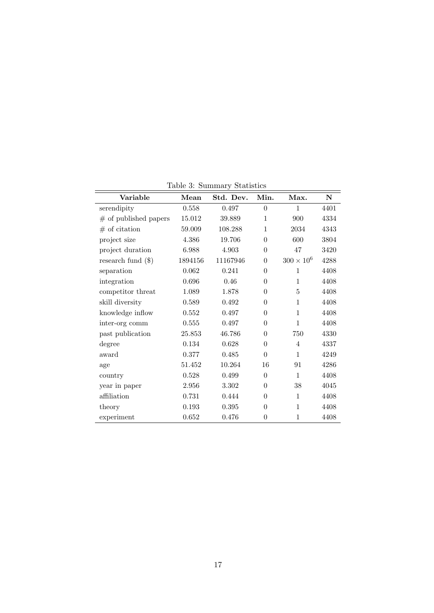| Variable                | Mean    | Std. Dev. | Min.             | Max.                | ${\bf N}$ |
|-------------------------|---------|-----------|------------------|---------------------|-----------|
| serendipity             | 0.558   | 0.497     | $\overline{0}$   | $\mathbf{1}$        | 4401      |
| $#$ of published papers | 15.012  | 39.889    | $\mathbf{1}$     | 900                 | 4334      |
| $#$ of citation         | 59.009  | 108.288   | $\mathbf{1}$     | 2034                | 4343      |
| project size            | 4.386   | 19.706    | $\overline{0}$   | 600                 | 3804      |
| project duration        | 6.988   | 4.903     | $\overline{0}$   | 47                  | 3420      |
| research fund $(\$)$    | 1894156 | 11167946  | $\overline{0}$   | $300 \times 10^{6}$ | 4288      |
| separation              | 0.062   | 0.241     | $\overline{0}$   | $\mathbf{1}$        | 4408      |
| integration             | 0.696   | 0.46      | $\theta$         | $\mathbf 1$         | 4408      |
| competitor threat       | 1.089   | 1.878     | $\theta$         | 5                   | 4408      |
| skill diversity         | 0.589   | 0.492     | $\overline{0}$   | $\mathbf{1}$        | 4408      |
| knowledge inflow        | 0.552   | 0.497     | $\overline{0}$   | $\mathbf 1$         | 4408      |
| inter-org comm          | 0.555   | 0.497     | $\theta$         | $\mathbf{1}$        | 4408      |
| past publication        | 25.853  | 46.786    | $\overline{0}$   | 750                 | 4330      |
| degree                  | 0.134   | 0.628     | $\overline{0}$   | $\overline{4}$      | 4337      |
| award                   | 0.377   | 0.485     | $\theta$         | $\mathbf{1}$        | 4249      |
| age                     | 51.452  | 10.264    | 16               | 91                  | 4286      |
| country                 | 0.528   | 0.499     | $\theta$         | $\mathbf{1}$        | 4408      |
| year in paper           | 2.956   | 3.302     | $\theta$         | 38                  | 4045      |
| affiliation             | 0.731   | 0.444     | $\overline{0}$   | $\mathbf{1}$        | 4408      |
| theory                  | 0.193   | 0.395     | $\overline{0}$   | $\mathbf{1}$        | 4408      |
| experiment              | 0.652   | 0.476     | $\boldsymbol{0}$ | $\mathbf{1}$        | 4408      |

Table 3: Summary Statistics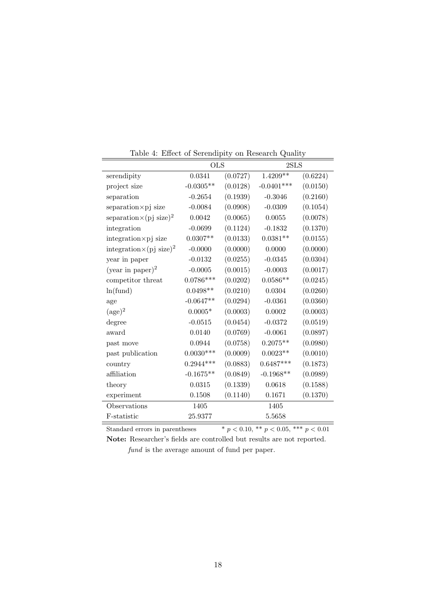|                                             | $\mathbf{r}$ and $\mathbf{r}$ and $\mathbf{r}$ are $\mathbf{r}$ and $\mathbf{r}$ are $\mathbf{r}$<br>on recover on gainly<br><b>OLS</b><br>2SLS |          |              |          |
|---------------------------------------------|-------------------------------------------------------------------------------------------------------------------------------------------------|----------|--------------|----------|
| serendipity                                 | 0.0341                                                                                                                                          | (0.0727) | $1.4209**$   | (0.6224) |
| project size                                | $-0.0305**$                                                                                                                                     | (0.0128) | $-0.0401***$ | (0.0150) |
| separation                                  | $-0.2654$                                                                                                                                       | (0.1939) | $-0.3046$    | (0.2160) |
| $separation \times pj$ size                 | $-0.0084$                                                                                                                                       | (0.0908) | $-0.0309$    | (0.1054) |
| separation $\times$ (pj size) <sup>2</sup>  | 0.0042                                                                                                                                          | (0.0065) | 0.0055       | (0.0078) |
| integration                                 | $-0.0699$                                                                                                                                       | (0.1124) | $-0.1832$    | (0.1370) |
| $integration \times pj$ size                | $0.0307**$                                                                                                                                      | (0.0133) | $0.0381**$   | (0.0155) |
| integration $\times$ (pj size) <sup>2</sup> | $-0.0000$                                                                                                                                       | (0.0000) | 0.0000       | (0.0000) |
| year in paper                               | $-0.0132$                                                                                                                                       | (0.0255) | $-0.0345$    | (0.0304) |
| (year in paper) <sup>2</sup>                | $-0.0005$                                                                                                                                       | (0.0015) | $-0.0003$    | (0.0017) |
| competitor threat                           | $0.0786***$                                                                                                                                     | (0.0202) | $0.0586**$   | (0.0245) |
| ln(fund)                                    | $0.0498**$                                                                                                                                      | (0.0210) | 0.0304       | (0.0260) |
| age                                         | $-0.0647**$                                                                                                                                     | (0.0294) | $-0.0361$    | (0.0360) |
| $(\text{age})^2$                            | $0.0005*$                                                                                                                                       | (0.0003) | 0.0002       | (0.0003) |
| degree                                      | $-0.0515$                                                                                                                                       | (0.0454) | $-0.0372$    | (0.0519) |
| award                                       | 0.0140                                                                                                                                          | (0.0769) | $-0.0061$    | (0.0897) |
| past move                                   | 0.0944                                                                                                                                          | (0.0758) | $0.2075**$   | (0.0980) |
| past publication                            | $0.0030***$                                                                                                                                     | (0.0009) | $0.0023**$   | (0.0010) |
| country                                     | $0.2944***$                                                                                                                                     | (0.0883) | $0.6487***$  | (0.1873) |
| affiliation                                 | $-0.1675**$                                                                                                                                     | (0.0849) | $-0.1968**$  | (0.0989) |
| theory                                      | 0.0315                                                                                                                                          | (0.1339) | 0.0618       | (0.1588) |
| experiment                                  | $0.1508\,$                                                                                                                                      | (0.1140) | 0.1671       | (0.1370) |
| Observations                                | 1405                                                                                                                                            |          | 1405         |          |
| F-statistic                                 | 25.9377                                                                                                                                         |          | 5.5658       |          |

Table 4: Effect of Serendipity on Research Quality

Standard errors in parentheses  $* p < 0.10, ** p < 0.05, ** p < 0.01$ **Note:** Researcher's fields are controlled but results are not reported.

*fund* is the average amount of fund per paper.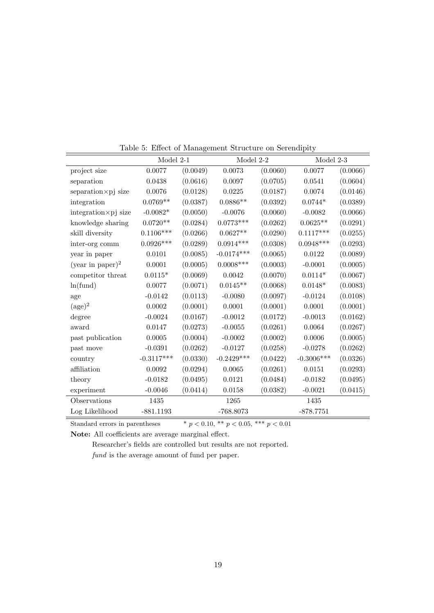|                              | Model 2-1    |          | Model 2-2    |          | Model 2-3    |          |
|------------------------------|--------------|----------|--------------|----------|--------------|----------|
| project size                 | 0.0077       | (0.0049) | 0.0073       | (0.0060) | 0.0077       | (0.0066) |
| separation                   | 0.0438       | (0.0616) | 0.0097       | (0.0705) | 0.0541       | (0.0604) |
| $separation \times pj$ size  | 0.0076       | (0.0128) | 0.0225       | (0.0187) | 0.0074       | (0.0146) |
| integration                  | $0.0769**$   | (0.0387) | $0.0886**$   | (0.0392) | $0.0744*$    | (0.0389) |
| $integration \times pj$ size | $-0.0082*$   | (0.0050) | $-0.0076$    | (0.0060) | $-0.0082$    | (0.0066) |
| knowledge sharing            | $0.0720**$   | (0.0284) | $0.0773***$  | (0.0262) | $0.0625**$   | (0.0291) |
| skill diversity              | $0.1106***$  | (0.0266) | $0.0627**$   | (0.0290) | $0.1117***$  | (0.0255) |
| inter-org comm               | $0.0926***$  | (0.0289) | $0.0914***$  | (0.0308) | $0.0948***$  | (0.0293) |
| year in paper                | 0.0101       | (0.0085) | $-0.0174***$ | (0.0065) | 0.0122       | (0.0089) |
| (year in paper) <sup>2</sup> | 0.0001       | (0.0005) | $0.0008***$  | (0.0003) | $-0.0001$    | (0.0005) |
| competitor threat            | $0.0115*$    | (0.0069) | 0.0042       | (0.0070) | $0.0114*$    | (0.0067) |
| ln(fund)                     | 0.0077       | (0.0071) | $0.0145**$   | (0.0068) | $0.0148*$    | (0.0083) |
| age                          | $-0.0142$    | (0.0113) | $-0.0080$    | (0.0097) | $-0.0124$    | (0.0108) |
| $(\text{age})^2$             | 0.0002       | (0.0001) | 0.0001       | (0.0001) | 0.0001       | (0.0001) |
| degree                       | $-0.0024$    | (0.0167) | $-0.0012$    | (0.0172) | $-0.0013$    | (0.0162) |
| award                        | 0.0147       | (0.0273) | $-0.0055$    | (0.0261) | 0.0064       | (0.0267) |
| past publication             | 0.0005       | (0.0004) | $-0.0002$    | (0.0002) | 0.0006       | (0.0005) |
| past move                    | $-0.0391$    | (0.0262) | $-0.0127$    | (0.0258) | $-0.0278$    | (0.0262) |
| country                      | $-0.3117***$ | (0.0330) | $-0.2429***$ | (0.0422) | $-0.3006***$ | (0.0326) |
| affiliation                  | 0.0092       | (0.0294) | 0.0065       | (0.0261) | 0.0151       | (0.0293) |
| theory                       | $-0.0182$    | (0.0495) | 0.0121       | (0.0484) | $-0.0182$    | (0.0495) |
| experiment                   | $-0.0046$    | (0.0414) | $\,0.0158\,$ | (0.0382) | $-0.0021$    | (0.0415) |
| Observations                 | 1435         |          | 1265         |          | 1435         |          |
| Log Likelihood               | $-881.1193$  |          | $-768.8073$  |          | $-878.7751$  |          |

Table 5: Effect of Management Structure on Serendipity

Standard errors in parentheses \*  $p < 0.10$ , \*\*  $p < 0.05$ , \*\*\*  $p < 0.01$ 

**Note:** All coefficients are average marginal effect.

Researcher's fields are controlled but results are not reported. *fund* is the average amount of fund per paper.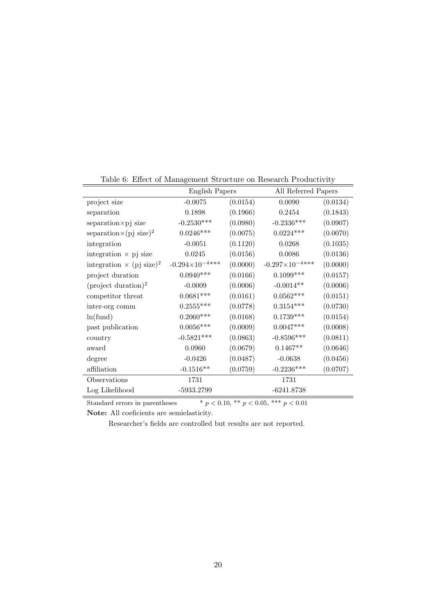| Lable 0. Effect of Management Structure on Research I Toductivity |                          |          |                          |          |  |  |
|-------------------------------------------------------------------|--------------------------|----------|--------------------------|----------|--|--|
|                                                                   | English Papers           |          | All Referred Papers      |          |  |  |
| project size                                                      | $-0.0075$                | (0.0154) | 0.0090                   | (0.0134) |  |  |
| separation                                                        | 0.1898                   | (0.1966) | 0.2454                   | (0.1843) |  |  |
| separation×pj size                                                | $-0.2530***$             | (0.0980) | $-0.2336***$             | (0.0907) |  |  |
| separation $\times$ (pj size) <sup>2</sup>                        | $0.0246***$              | (0.0075) | $0.0224***$              | (0.0070) |  |  |
| integration                                                       | $-0.0051$                | (0.1120) | 0.0268                   | (0.1035) |  |  |
| integration $\times$ pj size                                      | 0.0245                   | (0.0156) | 0.0086                   | (0.0136) |  |  |
| integration $\times$ (pj size) <sup>2</sup>                       | $-0.294\times10^{-4***}$ | (0.0000) | $-0.297\times10^{-4***}$ | (0.0000) |  |  |
| project duration                                                  | $0.0940***$              | (0.0166) | $0.1099***$              | (0.0157) |  |  |
| $(\text{project duration})^2$                                     | $-0.0009$                | (0.0006) | $-0.0014**$              | (0.0006) |  |  |
| competitor threat                                                 | $0.0681***$              | (0.0161) | $0.0562***$              | (0.0151) |  |  |
| inter-org comm                                                    | $0.2555***$              | (0.0778) | $0.3154***$              | (0.0730) |  |  |
| ln(fund)                                                          | $0.2060***$              | (0.0168) | $0.1739***$              | (0.0154) |  |  |
| past publication                                                  | $0.0056***$              | (0.0009) | $0.0047***$              | (0.0008) |  |  |
| country                                                           | $-0.5821***$             | (0.0863) | $-0.8596***$             | (0.0811) |  |  |
| award                                                             | 0.0960                   | (0.0679) | $0.1467**$               | (0.0646) |  |  |
| degree                                                            | $-0.0426$                | (0.0487) | $-0.0638$                | (0.0456) |  |  |
| affiliation                                                       | $-0.1516**$              | (0.0759) | $-0.2236***$             | (0.0707) |  |  |
| Observations                                                      | 1731                     |          | 1731                     |          |  |  |
| Log Likelihood                                                    | -5933.2799               |          | $-6241.8738$             |          |  |  |
|                                                                   |                          |          |                          |          |  |  |

Table 6: Effect of Management Structure on Research Productivity

Standard errors in parentheses  $* p < 0.10, ** p < 0.05, ** p < 0.01$ **Note:** All coeficients are semielasticity.

Researcher's fields are controlled but results are not reported.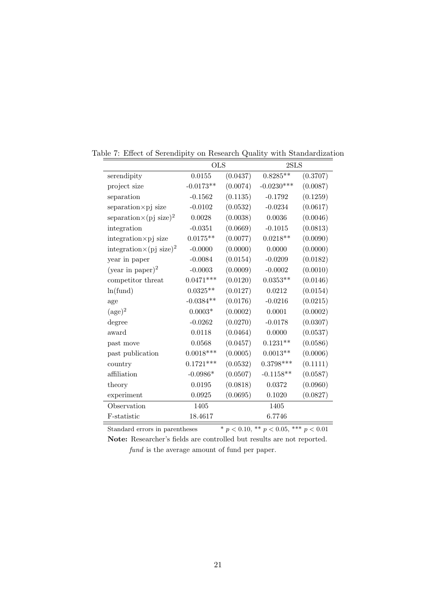|                                             | <b>OLS</b>  |          |              | 2SLS     |  |
|---------------------------------------------|-------------|----------|--------------|----------|--|
| serendipity                                 | 0.0155      | (0.0437) | $0.8285**$   | (0.3707) |  |
| project size                                | $-0.0173**$ | (0.0074) | $-0.0230***$ | (0.0087) |  |
| separation                                  | $-0.1562$   | (0.1135) | $-0.1792$    | (0.1259) |  |
| separation×pj size                          | $-0.0102$   | (0.0532) | $-0.0234$    | (0.0617) |  |
| separation $\times$ (pj size) <sup>2</sup>  | 0.0028      | (0.0038) | 0.0036       | (0.0046) |  |
| integration                                 | $-0.0351$   | (0.0669) | $-0.1015$    | (0.0813) |  |
| $integration \times pj$ size                | $0.0175**$  | (0.0077) | $0.0218**$   | (0.0090) |  |
| integration $\times$ (pj size) <sup>2</sup> | $-0.0000$   | (0.0000) | 0.0000       | (0.0000) |  |
| year in paper                               | $-0.0084$   | (0.0154) | $-0.0209$    | (0.0182) |  |
| (year in paper) <sup>2</sup>                | $-0.0003$   | (0.0009) | $-0.0002$    | (0.0010) |  |
| competitor threat                           | $0.0471***$ | (0.0120) | $0.0353**$   | (0.0146) |  |
| ln(fund)                                    | $0.0325**$  | (0.0127) | 0.0212       | (0.0154) |  |
| age                                         | $-0.0384**$ | (0.0176) | $-0.0216$    | (0.0215) |  |
| $(\text{age})^2$                            | $0.0003*$   | (0.0002) | 0.0001       | (0.0002) |  |
| degree                                      | $-0.0262$   | (0.0270) | $-0.0178$    | (0.0307) |  |
| award                                       | 0.0118      | (0.0464) | 0.0000       | (0.0537) |  |
| past move                                   | 0.0568      | (0.0457) | $0.1231**$   | (0.0586) |  |
| past publication                            | $0.0018***$ | (0.0005) | $0.0013**$   | (0.0006) |  |
| country                                     | $0.1721***$ | (0.0532) | $0.3798***$  | (0.1111) |  |
| affiliation                                 | $-0.0986*$  | (0.0507) | $-0.1158**$  | (0.0587) |  |
| theory                                      | 0.0195      | (0.0818) | 0.0372       | (0.0960) |  |
| experiment                                  | 0.0925      | (0.0695) | 0.1020       | (0.0827) |  |
| Observation                                 | 1405        |          | 1405         |          |  |
| F-statistic                                 | 18.4617     |          | 6.7746       |          |  |

Table 7: Effect of Serendipity on Research Quality with Standardization

Standard errors in parentheses \*  $p < 0.10,$  \*\*  $p < 0.05,$  \*\*\*  $p < 0.01$ **Note:** Researcher's fields are controlled but results are not reported.

*fund* is the average amount of fund per paper.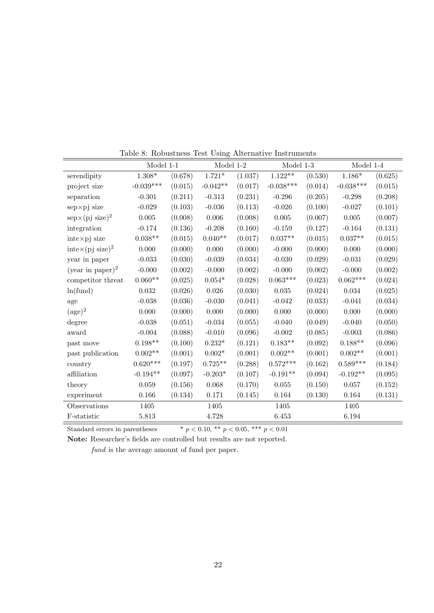|                                         | Model 1-1   |         | Model 1-2  |         | Model 1-3       |         | Model 1-4   |         |
|-----------------------------------------|-------------|---------|------------|---------|-----------------|---------|-------------|---------|
| serendipity                             | $1.308*$    | (0.678) | $1.721*$   | (1.037) | $1.122**$       | (0.530) | $1.186*$    | (0.625) |
| project size                            | $-0.039***$ | (0.015) | $-0.042**$ | (0.017) | $-0.038***$     | (0.014) | $-0.038***$ | (0.015) |
| separation                              | $-0.301$    | (0.211) | $-0.313$   | (0.231) | $-0.296$        | (0.205) | $-0.298$    | (0.208) |
| $sep \times pj$ size                    | $-0.029$    | (0.103) | $-0.036$   | (0.113) | $-0.026$        | (0.100) | $-0.027$    | (0.101) |
| $\exp \times (pj \text{ size})^2$       | $0.005\,$   | (0.008) | 0.006      | (0.008) | $\,0.005\,$     | (0.007) | $\,0.005\,$ | (0.007) |
| integration                             | $-0.174$    | (0.136) | $-0.208$   | (0.160) | $-0.159$        | (0.127) | $-0.164$    | (0.131) |
| $int \exp j$ size                       | $0.038**$   | (0.015) | $0.040**$  | (0.017) | $0.037**$       | (0.015) | $0.037**$   | (0.015) |
| $\text{inte} \times (\text{pj size})^2$ | 0.000       | (0.000) | 0.000      | (0.000) | $-0.000$        | (0.000) | 0.000       | (0.000) |
| year in paper                           | $-0.033$    | (0.030) | $-0.039$   | (0.034) | $-0.030$        | (0.029) | $-0.031$    | (0.029) |
| (year in paper) <sup>2</sup>            | $-0.000$    | (0.002) | $-0.000$   | (0.002) | $-0.000$        | (0.002) | $-0.000$    | (0.002) |
| competitor threat                       | $0.060**$   | (0.025) | $0.054*$   | (0.028) | $0.063***$      | (0.023) | $0.062***$  | (0.024) |
| ln(fund)                                | 0.032       | (0.026) | 0.026      | (0.030) | 0.035           | (0.024) | 0.034       | (0.025) |
| age                                     | $-0.038$    | (0.036) | $-0.030$   | (0.041) | $-0.042$        | (0.033) | $-0.041$    | (0.034) |
| $(\text{age})^2$                        | 0.000       | (0.000) | 0.000      | (0.000) | 0.000           | (0.000) | 0.000       | (0.000) |
| degree                                  | $-0.038$    | (0.051) | $-0.034$   | (0.055) | $-0.040$        | (0.049) | $-0.040$    | (0.050) |
| award                                   | $-0.004$    | (0.088) | $-0.010$   | (0.096) | $-0.002$        | (0.085) | $-0.003$    | (0.086) |
| past move                               | $0.198**$   | (0.100) | $0.232*$   | (0.121) | $0.183**$       | (0.092) | $0.188**$   | (0.096) |
| past publication                        | $0.002**$   | (0.001) | $0.002*$   | (0.001) | $0.002**$       | (0.001) | $0.002**$   | (0.001) |
| country                                 | $0.620***$  | (0.197) | $0.725**$  | (0.288) | $0.572^{***}\,$ | (0.162) | $0.589***$  | (0.184) |
| affiliation                             | $-0.194**$  | (0.097) | $-0.203*$  | (0.107) | $-0.191**$      | (0.094) | $-0.192**$  | (0.095) |
| theory                                  | 0.059       | (0.156) | 0.068      | (0.170) | 0.055           | (0.150) | 0.057       | (0.152) |
| experiment                              | 0.166       | (0.134) | 0.171      | (0.145) | 0.164           | (0.130) | 0.164       | (0.131) |
| Observations                            | 1405        |         | 1405       |         | 1405            |         | 1405        |         |
| F-statistic                             | 5.813       |         | 4.728      |         | 6.453           |         | 6.194       |         |

Table 8: Robustness Test Using Alternative Instruments

Standard errors in parentheses \*  $p < 0.10,$  \*\*  $p < 0.05,$  \*\*\*  $p < 0.01$ 

**Note:** Researcher's fields are controlled but results are not reported.

*fund* is the average amount of fund per paper.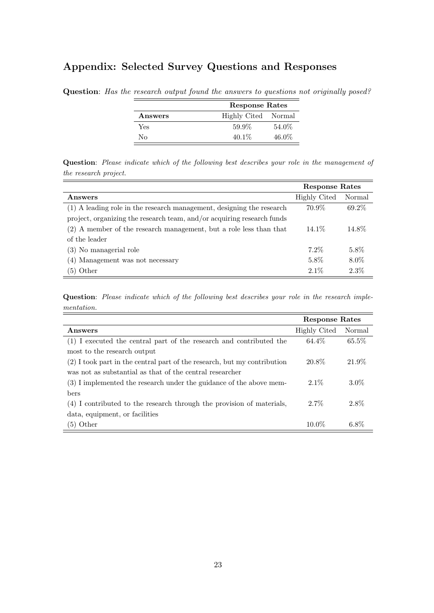## **Appendix: Selected Survey Questions and Responses**

|         |                     | Response Rates |  |  |  |
|---------|---------------------|----------------|--|--|--|
| Answers | Highly Cited Normal |                |  |  |  |
| Yes     | 59.9%               | 54.0%          |  |  |  |
| Nο      | $40.1\%$            | $46.0\%$       |  |  |  |

**Question**: *Has the research output found the answers to questions not originally posed?*

**Question**: *Please indicate which of the following best describes your role in the management of the research project.*

|                                                                        | <b>Response Rates</b> |         |
|------------------------------------------------------------------------|-----------------------|---------|
| Answers                                                                | <b>Highly Cited</b>   | Normal  |
| (1) A leading role in the research management, designing the research  | 70.9%                 | 69.2\%  |
| project, organizing the research team, and/or acquiring research funds |                       |         |
| (2) A member of the research management, but a role less than that     | 14.1\%                | 14.8%   |
| of the leader                                                          |                       |         |
| (3) No managerial role                                                 | $7.2\%$               | 5.8%    |
| (4) Management was not necessary                                       | 5.8%                  | $8.0\%$ |
| $(5)$ Other                                                            | $2.1\%$               | 2.3%    |

**Question**: *Please indicate which of the following best describes your role in the research implementation.*

|                                                                            | <b>Response Rates</b> |          |
|----------------------------------------------------------------------------|-----------------------|----------|
| Answers                                                                    | <b>Highly Cited</b>   | Normal   |
| (1) I executed the central part of the research and contributed the        | 64.4%                 | $65.5\%$ |
| most to the research output                                                |                       |          |
| $(2)$ I took part in the central part of the research, but my contribution | 20.8%                 | 21.9%    |
| was not as substantial as that of the central researcher                   |                       |          |
| (3) I implemented the research under the guidance of the above mem-        | $2.1\%$               | $3.0\%$  |
| bers                                                                       |                       |          |
| (4) I contributed to the research through the provision of materials,      | $2.7\%$               | 2.8%     |
| data, equipment, or facilities                                             |                       |          |
| $(5)$ Other                                                                | $10.0\%$              | $6.8\%$  |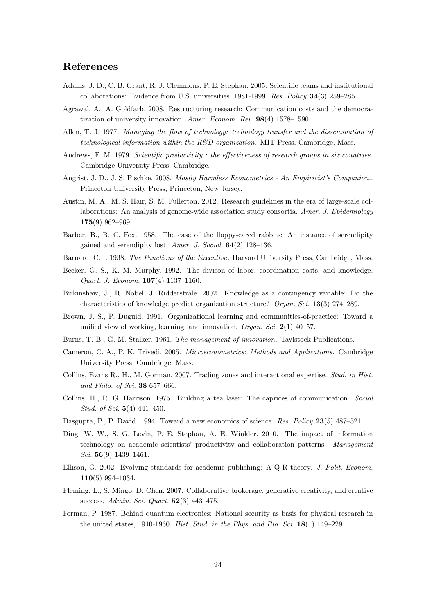## **References**

- Adams, J. D., C. B. Grant, R. J. Clemmons, P. E. Stephan. 2005. Scientific teams and institutional collaborations: Evidence from U.S. universities. 1981-1999. *Res. Policy* **34**(3) 259–285.
- Agrawal, A., A. Goldfarb. 2008. Restructuring research: Communication costs and the democratization of university innovation. *Amer. Econom. Rev.* **98**(4) 1578–1590.
- Allen, T. J. 1977. *Managing the flow of technology: technology transfer and the dissemination of technological information within the R&D organization*. MIT Press, Cambridge, Mass.
- Andrews, F. M. 1979. *Scientific productivity : the effectiveness of research groups in six countries* . Cambridge University Press, Cambridge.
- Angrist, J. D., J. S. Pischke. 2008. *Mostly Harmless Econometrics An Empiricist's Companion.*. Princeton University Press, Princeton, New Jersey.
- Austin, M. A., M. S. Hair, S. M. Fullerton. 2012. Research guidelines in the era of large-scale collaborations: An analysis of genome-wide association study consortia. *Amer. J. Epidemiology* **175**(9) 962–969.
- Barber, B., R. C. Fox. 1958. The case of the floppy-eared rabbits: An instance of serendipity gained and serendipity lost. *Amer. J. Sociol.* **64**(2) 128–136.
- Barnard, C. I. 1938. *The Functions of the Executive*. Harvard University Press, Cambridge, Mass.
- Becker, G. S., K. M. Murphy. 1992. The divison of labor, coordination costs, and knowledge. *Quart. J. Econom.* **107**(4) 1137–1160.
- Birkinshaw, J., R. Nobel, J. Ridderstråle. 2002. Knowledge as a contingency variable: Do the characteristics of knowledge predict organization structure? *Organ. Sci.* **13**(3) 274–289.
- Brown, J. S., P. Duguid. 1991. Organizational learning and communities-of-practice: Toward a unified view of working, learning, and innovation. *Organ. Sci.* **2**(1) 40–57.
- Burns, T. B., G. M. Stalker. 1961. *The management of innovation*. Tavistock Publications.
- Cameron, C. A., P. K. Trivedi. 2005. *Microeconometrics: Methods and Applications*. Cambridge University Press, Cambridge, Mass.
- Collins, Evans R., H., M. Gorman. 2007. Trading zones and interactional expertise. *Stud. in Hist. and Philo. of Sci.* **38** 657–666.
- Collins, H., R. G. Harrison. 1975. Building a tea laser: The caprices of communication. *Social Stud. of Sci.* **5**(4) 441–450.
- Dasgupta, P., P. David. 1994. Toward a new economics of science. *Res. Policy* **23**(5) 487–521.
- Ding, W. W., S. G. Levin, P. E. Stephan, A. E. Winkler. 2010. The impact of information technology on academic scientists' productivity and collaboration patterns. *Management Sci.* **56**(9) 1439–1461.
- Ellison, G. 2002. Evolving standards for academic publishing: A Q-R theory. *J. Polit. Econom.* **110**(5) 994–1034.
- Fleming, L., S. Mingo, D. Chen. 2007. Collaborative brokerage, generative creativity, and creative success. *Admin. Sci. Quart.* **52**(3) 443–475.
- Forman, P. 1987. Behind quantum electronics: National security as basis for physical research in the united states, 1940-1960. *Hist. Stud. in the Phys. and Bio. Sci.* **18**(1) 149–229.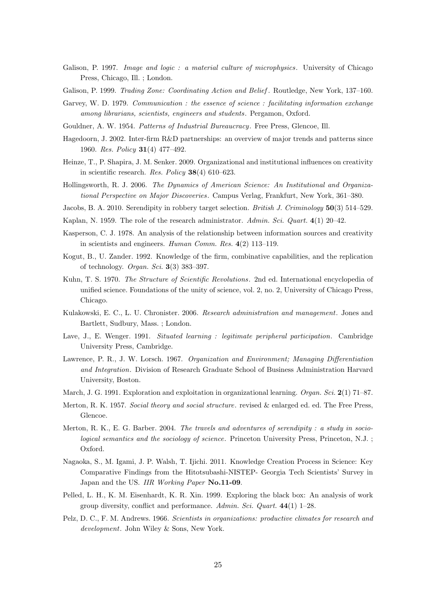- Galison, P. 1997. *Image and logic : a material culture of microphysics*. University of Chicago Press, Chicago, Ill. ; London.
- Galison, P. 1999. *Trading Zone: Coordinating Action and Belief* . Routledge, New York, 137–160.
- Garvey, W. D. 1979. *Communication : the essence of science : facilitating information exchange among librarians, scientists, engineers and students*. Pergamon, Oxford.
- Gouldner, A. W. 1954. *Patterns of Industrial Bureaucracy*. Free Press, Glencoe, Ill.
- Hagedoorn, J. 2002. Inter-firm R&D partnerships: an overview of major trends and patterns since 1960. *Res. Policy* **31**(4) 477–492.
- Heinze, T., P. Shapira, J. M. Senker. 2009. Organizational and institutional influences on creativity in scientific research. *Res. Policy* **38**(4) 610–623.
- Hollingsworth, R. J. 2006. *The Dynamics of American Science: An Institutional and Organizational Perspective on Major Discoveries*. Campus Verlag, Frankfurt, New York, 361–380.
- Jacobs, B. A. 2010. Serendipity in robbery target selection. *British J. Criminology* **50**(3) 514–529.
- Kaplan, N. 1959. The role of the research administrator. *Admin. Sci. Quart.* **4**(1) 20–42.
- Kasperson, C. J. 1978. An analysis of the relationship between information sources and creativity in scientists and engineers. *Human Comm. Res.* **4**(2) 113–119.
- Kogut, B., U. Zander. 1992. Knowledge of the firm, combinative capabilities, and the replication of technology. *Organ. Sci.* **3**(3) 383–397.
- Kuhn, T. S. 1970. *The Structure of Scientific Revolutions*. 2nd ed. International encyclopedia of unified science. Foundations of the unity of science, vol. 2, no. 2, University of Chicago Press, Chicago.
- Kulakowski, E. C., L. U. Chronister. 2006. *Research administration and management*. Jones and Bartlett, Sudbury, Mass. ; London.
- Lave, J., E. Wenger. 1991. *Situated learning : legitimate peripheral participation*. Cambridge University Press, Cambridge.
- Lawrence, P. R., J. W. Lorsch. 1967. *Organization and Environment; Managing Differentiation and Integration*. Division of Research Graduate School of Business Administration Harvard University, Boston.
- March, J. G. 1991. Exploration and exploitation in organizational learning. *Organ. Sci.* **2**(1) 71–87.
- Merton, R. K. 1957. *Social theory and social structure*. revised & enlarged ed. ed. The Free Press, Glencoe.
- Merton, R. K., E. G. Barber. 2004. *The travels and adventures of serendipity : a study in sociological semantics and the sociology of science*. Princeton University Press, Princeton, N.J. ; Oxford.
- Nagaoka, S., M. Igami, J. P. Walsh, T. Ijichi. 2011. Knowledge Creation Process in Science: Key Comparative Findings from the Hitotsubashi-NISTEP- Georgia Tech Scientists' Survey in Japan and the US. *IIR Working Paper* **No.11-09**.
- Pelled, L. H., K. M. Eisenhardt, K. R. Xin. 1999. Exploring the black box: An analysis of work group diversity, conflict and performance. *Admin. Sci. Quart.* **44**(1) 1–28.
- Pelz, D. C., F. M. Andrews. 1966. *Scientists in organizations: productive climates for research and development*. John Wiley & Sons, New York.